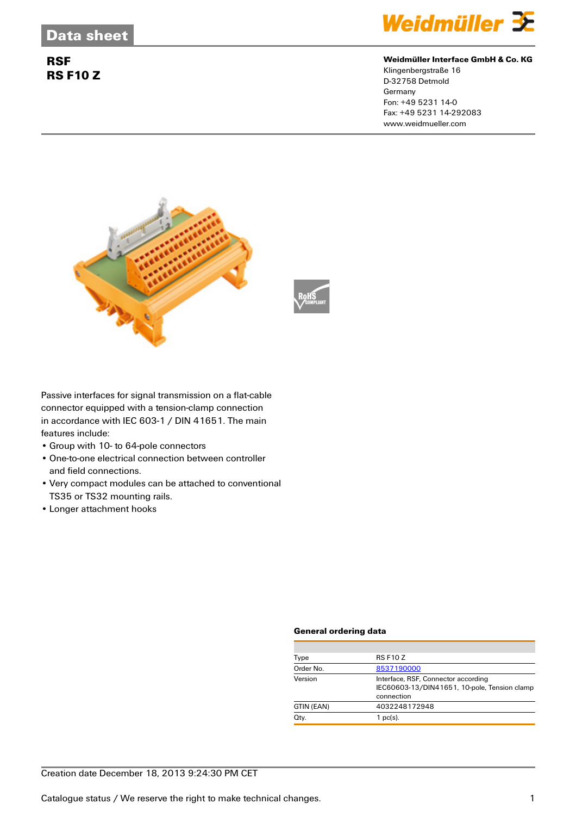## **RSF RS F10 Z**



#### **Weidmüller Interface GmbH & Co. KG**

Klingenbergstraße 16 D-32758 Detmold Germany Fon: +49 5231 14-0 Fax: +49 5231 14-292083 www.weidmueller.com





Passive interfaces for signal transmission on a flat-cable connector equipped with a tension-clamp connection in accordance with IEC 603-1 / DIN 41651. The main features include:

- Group with 10- to 64-pole connectors
- One-to-one electrical connection between controller and field connections.
- Very compact modules can be attached to conventional TS35 or TS32 mounting rails.
- Longer attachment hooks

#### **General ordering data**

| Type       | <b>RS F10 Z</b>                                                                                   |  |  |
|------------|---------------------------------------------------------------------------------------------------|--|--|
| Order No.  | 8537190000                                                                                        |  |  |
| Version    | Interface, RSF, Connector according<br>IEC60603-13/DIN41651, 10-pole, Tension clamp<br>connection |  |  |
| GTIN (EAN) | 4032248172948                                                                                     |  |  |
| Qty.       | $1$ pc(s).                                                                                        |  |  |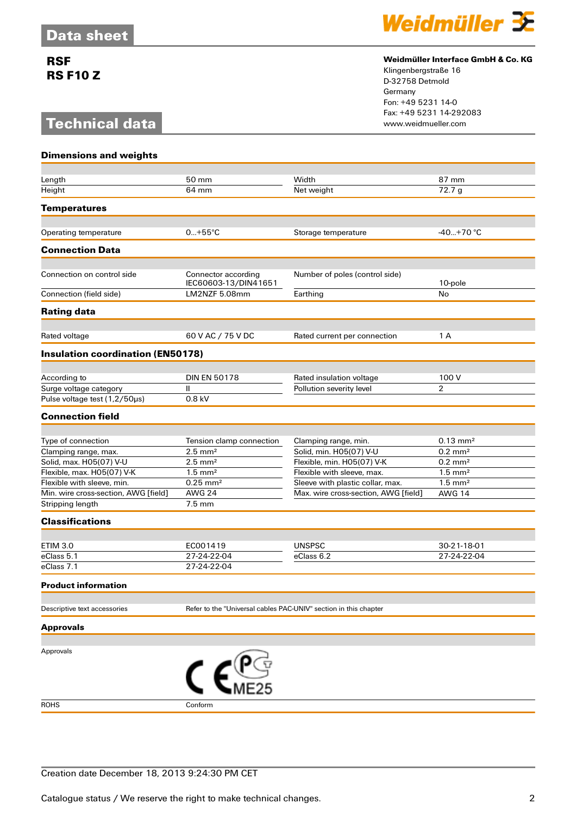## **RSF RS F10 Z**

# **Technical data**



### **Weidmüller Interface GmbH & Co. KG**

Klingenbergstraße 16 D-32758 Detmold Germany Fon: +49 5231 14-0 Fax: +49 5231 14-292083

| <b>Dimensions and weights</b>                            |                                                                                 |                                      |                                                |  |
|----------------------------------------------------------|---------------------------------------------------------------------------------|--------------------------------------|------------------------------------------------|--|
|                                                          |                                                                                 |                                      |                                                |  |
| Length                                                   | 50 mm                                                                           | Width                                | 87 mm                                          |  |
| Height                                                   | 64 mm                                                                           | Net weight                           | 72.7g                                          |  |
| <b>Temperatures</b>                                      |                                                                                 |                                      |                                                |  |
| Operating temperature                                    | $0+55^{\circ}C$                                                                 | Storage temperature                  | $-40+70$ °C                                    |  |
|                                                          |                                                                                 |                                      |                                                |  |
| <b>Connection Data</b>                                   |                                                                                 |                                      |                                                |  |
| Connection on control side                               | Connector according<br>IEC60603-13/DIN41651                                     | Number of poles (control side)       | 10-pole                                        |  |
| Connection (field side)                                  | LM2NZF 5.08mm                                                                   | Earthing                             | No                                             |  |
| <b>Rating data</b>                                       |                                                                                 |                                      |                                                |  |
| Rated voltage                                            | 60 V AC / 75 V DC                                                               | Rated current per connection         | 1 A                                            |  |
| <b>Insulation coordination (EN50178)</b>                 |                                                                                 |                                      |                                                |  |
|                                                          |                                                                                 |                                      |                                                |  |
| According to                                             | <b>DIN EN 50178</b>                                                             | Rated insulation voltage             | 100 V                                          |  |
| Surge voltage category                                   | $\mathbf{II}$                                                                   | Pollution severity level             | $\overline{2}$                                 |  |
| Pulse voltage test (1,2/50µs)                            | 0.8 kV                                                                          |                                      |                                                |  |
| <b>Connection field</b>                                  |                                                                                 |                                      |                                                |  |
|                                                          |                                                                                 |                                      |                                                |  |
| Type of connection                                       | Tension clamp connection                                                        | Clamping range, min.                 | $0.13 \text{ mm}^2$                            |  |
| Clamping range, max.                                     | $2.5$ mm <sup>2</sup>                                                           | Solid, min. H05(07) V-U              | $0.2 \text{ mm}^2$                             |  |
| Solid, max. H05(07) V-U                                  | $2.5$ mm <sup>2</sup>                                                           | Flexible, min. H05(07) V-K           | $0.2 \text{ mm}^2$                             |  |
| Flexible, max. H05(07) V-K                               | $1.5$ mm <sup>2</sup>                                                           | Flexible with sleeve, max.           | $1.5$ mm <sup>2</sup><br>$1.5$ mm <sup>2</sup> |  |
| Flexible with sleeve, min.                               | $0.25$ mm <sup>2</sup><br><b>AWG 24</b>                                         | Sleeve with plastic collar, max.     |                                                |  |
| Min. wire cross-section, AWG [field]<br>Stripping length | $7.5 \text{ mm}$                                                                | Max. wire cross-section, AWG [field] | <b>AWG 14</b>                                  |  |
|                                                          |                                                                                 |                                      |                                                |  |
| <b>Classifications</b>                                   |                                                                                 |                                      |                                                |  |
| <b>ETIM 3.0</b>                                          | EC001419                                                                        | <b>UNSPSC</b>                        | 30-21-18-01                                    |  |
| eClass 5.1                                               | 27-24-22-04                                                                     | eClass 6.2                           | 27-24-22-04                                    |  |
| eClass 7.1                                               | 27-24-22-04                                                                     |                                      |                                                |  |
| <b>Product information</b>                               |                                                                                 |                                      |                                                |  |
|                                                          |                                                                                 |                                      |                                                |  |
| Descriptive text accessories                             | Refer to the "Universal cables PAC-UNIV" section in this chapter                |                                      |                                                |  |
| <b>Approvals</b>                                         |                                                                                 |                                      |                                                |  |
| Approvals                                                |                                                                                 |                                      |                                                |  |
|                                                          | $\mathcal{C}$ $\boldsymbol{\epsilon}$ $\mathcal{C}$ $\mathcal{C}$ $\mathcal{C}$ |                                      |                                                |  |
|                                                          |                                                                                 |                                      |                                                |  |
| <b>ROHS</b>                                              | Conform                                                                         |                                      |                                                |  |

Creation date December 18, 2013 9:24:30 PM CET